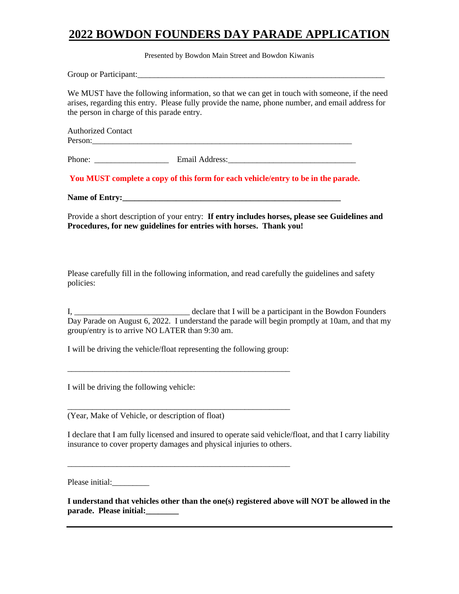## **2022 BOWDON FOUNDERS DAY PARADE APPLICATION**

Presented by Bowdon Main Street and Bowdon Kiwanis

Group or Participant:

We MUST have the following information, so that we can get in touch with someone, if the need arises, regarding this entry. Please fully provide the name, phone number, and email address for the person in charge of this parade entry.

| <b>Authorized Contact</b> |  |  |
|---------------------------|--|--|
| Person:                   |  |  |
|                           |  |  |

Phone: \_\_\_\_\_\_\_\_\_\_\_\_\_\_\_\_\_\_ Email Address:\_\_\_\_\_\_\_\_\_\_\_\_\_\_\_\_\_\_\_\_\_\_\_\_\_\_\_\_\_\_\_

**You MUST complete a copy of this form for each vehicle/entry to be in the parade.**

Name of Entry:

Provide a short description of your entry: **If entry includes horses, please see Guidelines and Procedures, for new guidelines for entries with horses. Thank you!**

Please carefully fill in the following information, and read carefully the guidelines and safety policies:

I, \_\_\_\_\_\_\_\_\_\_\_\_\_\_\_\_\_\_\_\_\_\_\_\_\_\_\_\_ declare that I will be a participant in the Bowdon Founders Day Parade on August 6, 2022. I understand the parade will begin promptly at 10am, and that my group/entry is to arrive NO LATER than 9:30 am.

I will be driving the vehicle/float representing the following group:

\_\_\_\_\_\_\_\_\_\_\_\_\_\_\_\_\_\_\_\_\_\_\_\_\_\_\_\_\_\_\_\_\_\_\_\_\_\_\_\_\_\_\_\_\_\_\_\_\_\_\_\_\_\_

\_\_\_\_\_\_\_\_\_\_\_\_\_\_\_\_\_\_\_\_\_\_\_\_\_\_\_\_\_\_\_\_\_\_\_\_\_\_\_\_\_\_\_\_\_\_\_\_\_\_\_\_\_\_

\_\_\_\_\_\_\_\_\_\_\_\_\_\_\_\_\_\_\_\_\_\_\_\_\_\_\_\_\_\_\_\_\_\_\_\_\_\_\_\_\_\_\_\_\_\_\_\_\_\_\_\_\_\_

I will be driving the following vehicle:

(Year, Make of Vehicle, or description of float)

I declare that I am fully licensed and insured to operate said vehicle/float, and that I carry liability insurance to cover property damages and physical injuries to others.

Please initial:

**I understand that vehicles other than the one(s) registered above will NOT be allowed in the parade. Please initial:\_\_\_\_\_\_\_\_**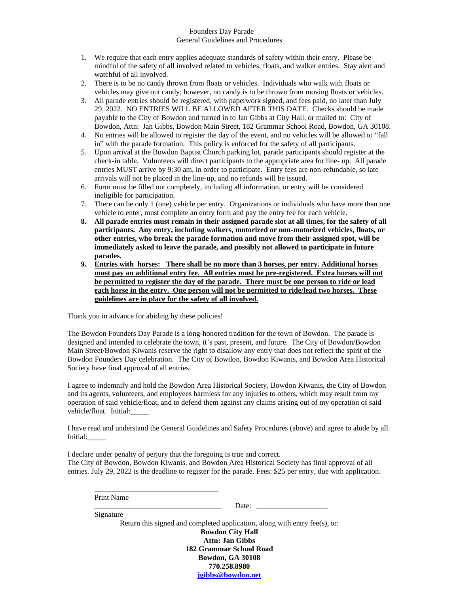## Founders Day Parade General Guidelines and Procedures

- 1. We require that each entry applies adequate standards of safety within their entry. Please be mindful of the safety of all involved related to vehicles, floats, and walker entries. Stay alert and watchful of all involved.
- 2. There is to be no candy thrown from floats or vehicles. Individuals who walk with floats or vehicles may give out candy; however, no candy is to be thrown from moving floats or vehicles.
- 3. All parade entries should be registered, with paperwork signed, and fees paid, no later than July 29, 2022. NO ENTRIES WILL BE ALLOWED AFTER THIS DATE. Checks should be made payable to the City of Bowdon and turned in to Jan Gibbs at City Hall, or mailed to: City of Bowdon, Attn: Jan Gibbs, Bowdon Main Street, 182 Grammar School Road, Bowdon, GA 30108.
- 4. No entries will be allowed to register the day of the event, and no vehicles will be allowed to "fall in" with the parade formation. This policy is enforced for the safety of all participants.
- 5. Upon arrival at the Bowdon Baptist Church parking lot, parade participants should register at the check-in table. Volunteers will direct participants to the appropriate area for line- up. All parade entries MUST arrive by 9:30 am, in order to participate. Entry fees are non-refundable, so late arrivals will not be placed in the line-up, and no refunds will be issued.
- 6. Form must be filled out completely, including all information, or entry will be considered ineligible for participation.
- 7. There can be only 1 (one) vehicle per entry. Organizations or individuals who have more than one vehicle to enter, must complete an entry form and pay the entry fee for each vehicle.
- **8. All parade entries must remain in their assigned parade slot at all times, for the safety of all participants. Any entry, including walkers, motorized or non-motorized vehicles, floats, or other entries, who break the parade formation and move from their assigned spot, will be immediately asked to leave the parade, and possibly not allowed to participate in future parades.**
- **9. Entries with horses: There shall be no more than 3 horses, per entry. Additional horses must pay an additional entry fee. All entries must be pre-registered. Extra horses will not be permitted to register the day of the parade. There must be one person to ride or lead each horse in the entry. One person will not be permitted to ride/lead two horses. These guidelines are in place for the safety of all involved.**

Thank you in advance for abiding by these policies!

\_\_\_\_\_\_\_\_\_\_\_\_\_\_\_\_\_\_\_\_\_\_\_\_\_\_\_\_\_\_\_\_\_

The Bowdon Founders Day Parade is a long-honored tradition for the town of Bowdon. The parade is designed and intended to celebrate the town, it's past, present, and future. The City of Bowdon/Bowdon Main Street/Bowdon Kiwanis reserve the right to disallow any entry that does not reflect the spirit of the Bowdon Founders Day celebration. The City of Bowdon, Bowdon Kiwanis, and Bowdon Area Historical Society have final approval of all entries.

I agree to indemnify and hold the Bowdon Area Historical Society, Bowdon Kiwanis, the City of Bowdon and its agents, volunteers, and employees harmless for any injuries to others, which may result from my operation of said vehicle/float, and to defend them against any claims arising out of my operation of said vehicle/float. Initial:\_\_\_\_\_

I have read and understand the General Guidelines and Safety Procedures (above) and agree to abide by all. Initial:\_\_\_\_\_

I declare under penalty of perjury that the foregoing is true and correct. The City of Bowdon, Bowdon Kiwanis, and Bowdon Area Historical Society has final approval of all entries. July 29, 2022 is the deadline to register for the parade. Fees: \$25 per entry, due with application.

Print Name

Date:

Signature Return this signed and completed application, along with entry fee(s), to: **Bowdon City Hall Attn: Jan Gibbs 182 Grammar School Road Bowdon, GA 30108 770.258.8980**

**[jgibbs@bowdon.net](mailto:jgibbs@bowdon.net)**